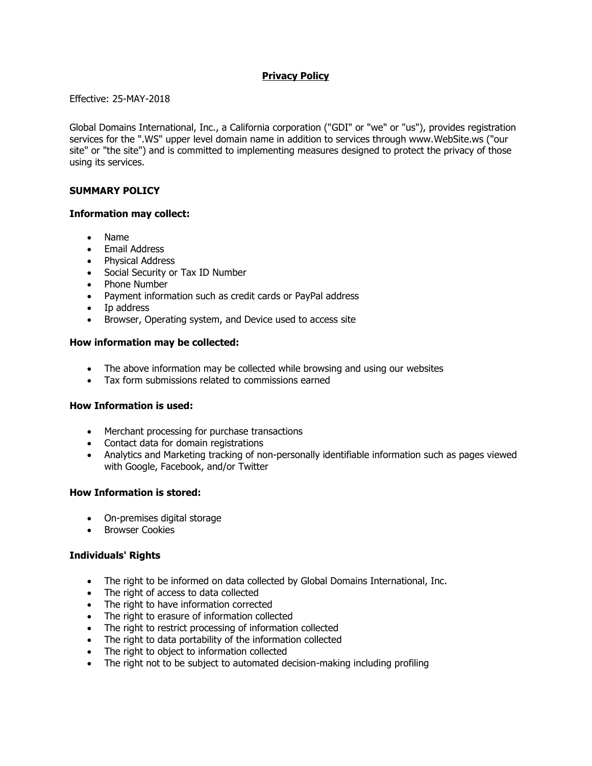# **Privacy Policy**

#### Effective: 25-MAY-2018

Global Domains International, Inc., a California corporation ("GDI" or "we" or "us"), provides registration services for the ".WS" upper level domain name in addition to services through www.WebSite.ws ("our site" or "the site") and is committed to implementing measures designed to protect the privacy of those using its services.

## **SUMMARY POLICY**

## **Information may collect:**

- Name
- Email Address
- Physical Address
- Social Security or Tax ID Number
- Phone Number
- Payment information such as credit cards or PayPal address
- Ip address
- Browser, Operating system, and Device used to access site

## **How information may be collected:**

- The above information may be collected while browsing and using our websites
- Tax form submissions related to commissions earned

## **How Information is used:**

- Merchant processing for purchase transactions
- Contact data for domain registrations
- Analytics and Marketing tracking of non-personally identifiable information such as pages viewed with Google, Facebook, and/or Twitter

## **How Information is stored:**

- On-premises digital storage
- **•** Browser Cookies

## **Individuals' Rights**

- The right to be informed on data collected by Global Domains International, Inc.
- The right of access to data collected
- The right to have information corrected
- The right to erasure of information collected
- The right to restrict processing of information collected
- The right to data portability of the information collected
- The right to object to information collected
- The right not to be subject to automated decision-making including profiling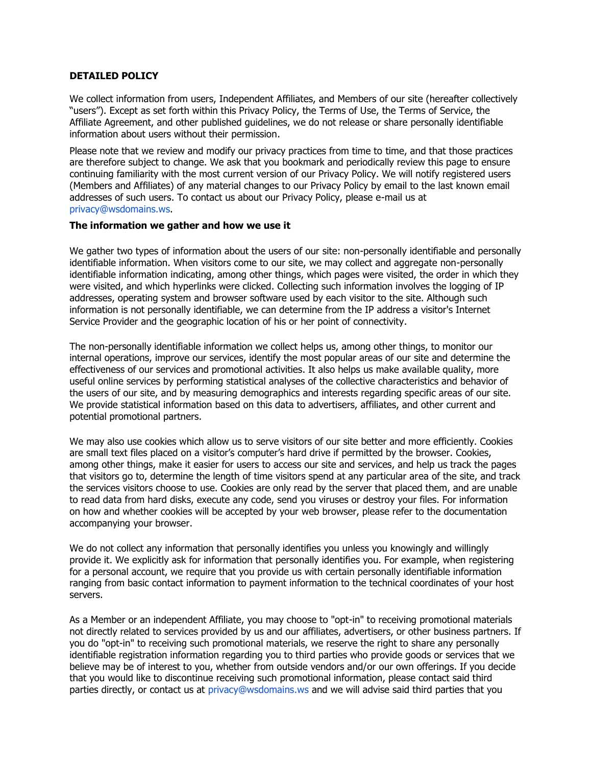#### **DETAILED POLICY**

We collect information from users, Independent Affiliates, and Members of our site (hereafter collectively "users"). Except as set forth within this Privacy Policy, the Terms of Use, the Terms of Service, the Affiliate Agreement, and other published guidelines, we do not release or share personally identifiable information about users without their permission.

Please note that we review and modify our privacy practices from time to time, and that those practices are therefore subject to change. We ask that you bookmark and periodically review this page to ensure continuing familiarity with the most current version of our Privacy Policy. We will notify registered users (Members and Affiliates) of any material changes to our Privacy Policy by email to the last known email addresses of such users. To contact us about our Privacy Policy, please e-mail us at [privacy@wsdomains.ws.](mailto:privacy@wsdomains.ws)

#### **The information we gather and how we use it**

We gather two types of information about the users of our site: non-personally identifiable and personally identifiable information. When visitors come to our site, we may collect and aggregate non-personally identifiable information indicating, among other things, which pages were visited, the order in which they were visited, and which hyperlinks were clicked. Collecting such information involves the logging of IP addresses, operating system and browser software used by each visitor to the site. Although such information is not personally identifiable, we can determine from the IP address a visitor's Internet Service Provider and the geographic location of his or her point of connectivity.

The non-personally identifiable information we collect helps us, among other things, to monitor our internal operations, improve our services, identify the most popular areas of our site and determine the effectiveness of our services and promotional activities. It also helps us make available quality, more useful online services by performing statistical analyses of the collective characteristics and behavior of the users of our site, and by measuring demographics and interests regarding specific areas of our site. We provide statistical information based on this data to advertisers, affiliates, and other current and potential promotional partners.

We may also use cookies which allow us to serve visitors of our site better and more efficiently. Cookies are small text files placed on a visitor's computer's hard drive if permitted by the browser. Cookies, among other things, make it easier for users to access our site and services, and help us track the pages that visitors go to, determine the length of time visitors spend at any particular area of the site, and track the services visitors choose to use. Cookies are only read by the server that placed them, and are unable to read data from hard disks, execute any code, send you viruses or destroy your files. For information on how and whether cookies will be accepted by your web browser, please refer to the documentation accompanying your browser.

We do not collect any information that personally identifies you unless you knowingly and willingly provide it. We explicitly ask for information that personally identifies you. For example, when registering for a personal account, we require that you provide us with certain personally identifiable information ranging from basic contact information to payment information to the technical coordinates of your host servers.

As a Member or an independent Affiliate, you may choose to "opt-in" to receiving promotional materials not directly related to services provided by us and our affiliates, advertisers, or other business partners. If you do "opt-in" to receiving such promotional materials, we reserve the right to share any personally identifiable registration information regarding you to third parties who provide goods or services that we believe may be of interest to you, whether from outside vendors and/or our own offerings. If you decide that you would like to discontinue receiving such promotional information, please contact said third parties directly, or contact us at [privacy@wsdomains.ws](mailto:privacy@wsdomains.ws) and we will advise said third parties that you